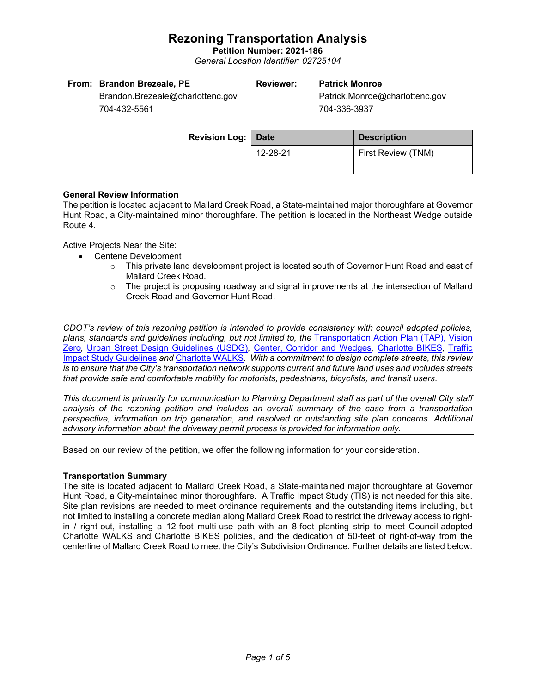**Petition Number: 2021-186** *General Location Identifier: 02725104*

| From: Brandon Brezeale, PE       | Reviewer: | <b>Patrick Monroe</b>          |
|----------------------------------|-----------|--------------------------------|
| Brandon.Brezeale@charlottenc.gov |           | Patrick.Monroe@charlottenc.gov |
| $701, 100$ $FFA$                 |           | 701.000.002                    |

704-432-5561

704-336-3937

| <b>Revision Log: Date</b> |          | <b>Description</b> |  |
|---------------------------|----------|--------------------|--|
|                           | 12-28-21 | First Review (TNM) |  |

## **General Review Information**

The petition is located adjacent to Mallard Creek Road, a State-maintained major thoroughfare at Governor Hunt Road, a City-maintained minor thoroughfare. The petition is located in the Northeast Wedge outside Route 4.

Active Projects Near the Site:

- Centene Development
	- $\circ$  This private land development project is located south of Governor Hunt Road and east of Mallard Creek Road.
	- $\circ$  The project is proposing roadway and signal improvements at the intersection of Mallard Creek Road and Governor Hunt Road.

*CDOT's review of this rezoning petition is intended to provide consistency with council adopted policies, plans, standards and guidelines including, but not limited to, the* [Transportation Action Plan \(TAP\),](https://charlottenc.gov/Transportation/Programs/Pages/TransportationActionPlan.aspx) [Vision](https://charlottenc.gov/VisionZero/Pages/VisionZero.aspx)  [Zero](https://charlottenc.gov/VisionZero/Pages/VisionZero.aspx)*,* [Urban Street Design Guidelines \(USDG\)](https://charlottenc.gov/Transportation/PlansProjects/Documents/USDG%20Full%20Document.pdf)*,* [Center, Corridor and Wedges](http://ww.charmeck.org/Planning/Land%20Use%20Planning/CentersCorridorsWedges/CentersCorridorsWedges(Adopted).pdf)*,* [Charlotte BIKES](https://charlottenc.gov/Transportation/Programs/Pages/Bicycle.aspx)*,* [Traffic](https://charlottenc.gov/Transportation/Permits/Documents/TISProcessandGuildlines.pdf)  [Impact Study Guidelines](https://charlottenc.gov/Transportation/Permits/Documents/TISProcessandGuildlines.pdf) *and* [Charlotte WALKS](https://charlottenc.gov/Transportation/Programs/Pages/CharlotteWalks.aspx)*. With a commitment to design complete streets, this review is to ensure that the City's transportation network supports current and future land uses and includes streets that provide safe and comfortable mobility for motorists, pedestrians, bicyclists, and transit users.*

*This document is primarily for communication to Planning Department staff as part of the overall City staff analysis of the rezoning petition and includes an overall summary of the case from a transportation perspective, information on trip generation, and resolved or outstanding site plan concerns. Additional advisory information about the driveway permit process is provided for information only.*

Based on our review of the petition, we offer the following information for your consideration.

## **Transportation Summary**

The site is located adjacent to Mallard Creek Road, a State-maintained major thoroughfare at Governor Hunt Road, a City-maintained minor thoroughfare. A Traffic Impact Study (TIS) is not needed for this site. Site plan revisions are needed to meet ordinance requirements and the outstanding items including, but not limited to installing a concrete median along Mallard Creek Road to restrict the driveway access to rightin / right-out, installing a 12-foot multi-use path with an 8-foot planting strip to meet Council-adopted Charlotte WALKS and Charlotte BIKES policies, and the dedication of 50-feet of right-of-way from the centerline of Mallard Creek Road to meet the City's Subdivision Ordinance. Further details are listed below.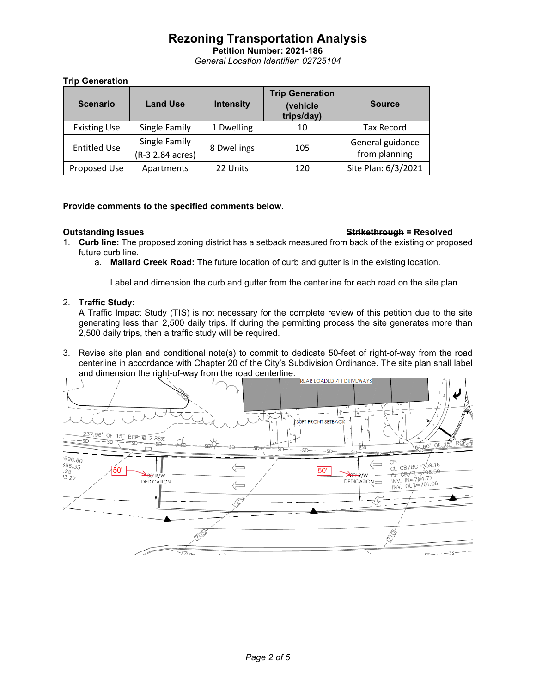**Petition Number: 2021-186** *General Location Identifier: 02725104*

### **Trip Generation**

| <b>Scenario</b>     | <b>Land Use</b>                   | <b>Intensity</b> | <b>Trip Generation</b><br>(vehicle<br>trips/day) | <b>Source</b>                     |
|---------------------|-----------------------------------|------------------|--------------------------------------------------|-----------------------------------|
| <b>Existing Use</b> | Single Family                     | 1 Dwelling       | 10                                               | <b>Tax Record</b>                 |
| <b>Entitled Use</b> | Single Family<br>(R-3 2.84 acres) | 8 Dwellings      | 105                                              | General guidance<br>from planning |
| Proposed Use        | Apartments                        | 22 Units         | 120                                              | Site Plan: 6/3/2021               |

## **Provide comments to the specified comments below.**

### **Outstanding Issues Strikethrough = Resolved**

- 1. **Curb line:** The proposed zoning district has a setback measured from back of the existing or proposed future curb line.
	- a. **Mallard Creek Road:** The future location of curb and gutter is in the existing location.

Label and dimension the curb and gutter from the centerline for each road on the site plan.

### 2. **Traffic Study:**

A Traffic Impact Study (TIS) is not necessary for the complete review of this petition due to the site generating less than 2,500 daily trips. If during the permitting process the site generates more than 2,500 daily trips, then a traffic study will be required.

3. Revise site plan and conditional note(s) to commit to dedicate 50-feet of right-of-way from the road centerline in accordance with Chapter 20 of the City's Subdivision Ordinance. The site plan shall label and dimension the right-of-way from the road centerline.

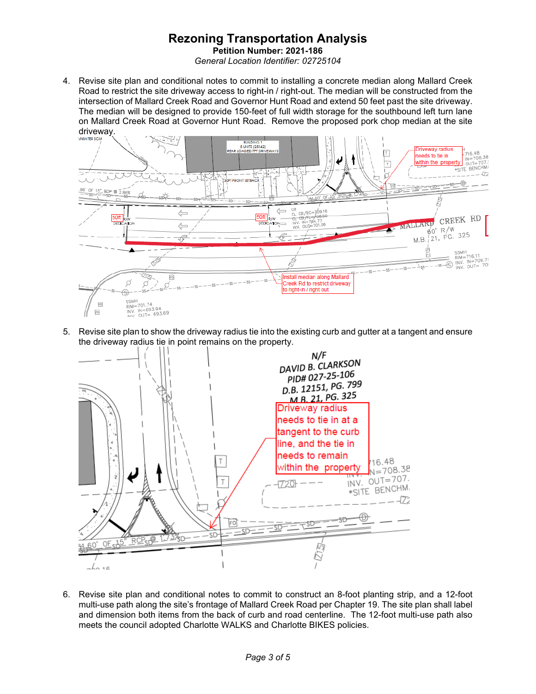**Petition Number: 2021-186** *General Location Identifier: 02725104*

4. Revise site plan and conditional notes to commit to installing a concrete median along Mallard Creek Road to restrict the site driveway access to right-in / right-out. The median will be constructed from the intersection of Mallard Creek Road and Governor Hunt Road and extend 50 feet past the site driveway. The median will be designed to provide 150-feet of full width storage for the southbound left turn lane on Mallard Creek Road at Governor Hunt Road. Remove the proposed pork chop median at the site driveway.



5. Revise site plan to show the driveway radius tie into the existing curb and gutter at a tangent and ensure the driveway radius tie in point remains on the property.



6. Revise site plan and conditional notes to commit to construct an 8-foot planting strip, and a 12-foot multi-use path along the site's frontage of Mallard Creek Road per Chapter 19. The site plan shall label and dimension both items from the back of curb and road centerline. The 12-foot multi-use path also meets the council adopted Charlotte WALKS and Charlotte BIKES policies.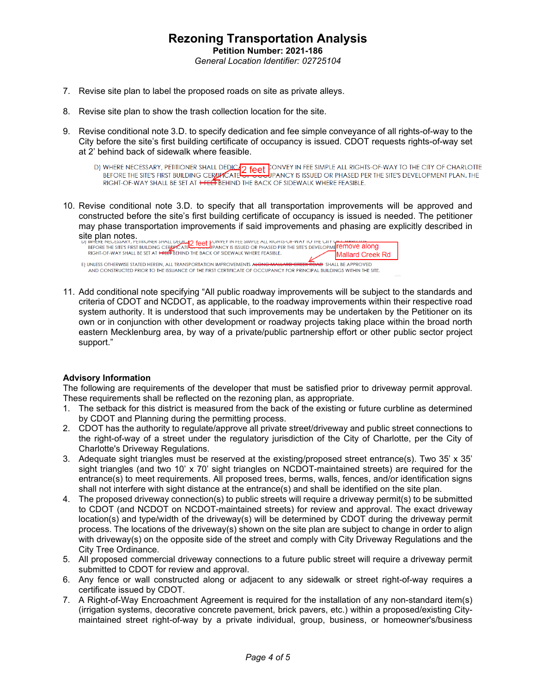- 7. Revise site plan to label the proposed roads on site as private alleys.
- 8. Revise site plan to show the trash collection location for the site.
- 9. Revise conditional note 3.D. to specify dedication and fee simple conveyance of all rights-of-way to the City before the site's first building certificate of occupancy is issued. CDOT requests rights-of-way set at 2' behind back of sidewalk where feasible.
	- D) WHERE NECESSARY, PETITIONER SHALL DEDICATE CONVEY IN FEE SIMPLE ALL RIGHTS-OF-WAY TO THE CITY OF CHARLOTTE<br>BEFORE THE SITE'S FIRST BUILDING CERTIFICATE OF SUBDIPANCY IS ISSUED OR PHASED PER THE SITE'S DEVELOPMENT PLAN. RIGHT-OF-WAY SHALL BE SET AT HELL BEHIND THE BACK OF SIDEWALK WHERE FEASIBLE.
- 10. Revise conditional note 3.D. to specify that all transportation improvements will be approved and constructed before the site's first building certificate of occupancy is issued is needed. The petitioner may phase transportation improvements if said improvements and phasing are explicitly described in

Site plan notes.<br>
UJ WERKE PIESTES FIRST BUILDING CERTIFICATE THE BOAT IS ISSUED OR PHASED PER THE SITE'S DEVELOPMETERING and B<br>
REFORE THE SITE'S THIS TISS FIRST BUILDING CERTIFICATE THE BACK OF SIDEWALK WHERE FEASIBLE.<br> Mallard Creek Rd **AND SHALL BE APPROVED** E) UNLESS OTHERWISE STATED HEREIN, ALL TRANSPORTATION IMPROVEMENTS ALONO AND CONSTRUCTED PRIOR TO THE ISSUANCE OF THE FIRST CERTIFICATE OF OCCUPANCY FOR PRINCIPAL BUILDINGS WITHIN THE SITE.

11. Add conditional note specifying "All public roadway improvements will be subject to the standards and criteria of CDOT and NCDOT, as applicable, to the roadway improvements within their respective road system authority. It is understood that such improvements may be undertaken by the Petitioner on its own or in conjunction with other development or roadway projects taking place within the broad north eastern Mecklenburg area, by way of a private/public partnership effort or other public sector project support."

## **Advisory Information**

The following are requirements of the developer that must be satisfied prior to driveway permit approval. These requirements shall be reflected on the rezoning plan, as appropriate.

- 1. The setback for this district is measured from the back of the existing or future curbline as determined by CDOT and Planning during the permitting process.
- 2. CDOT has the authority to regulate/approve all private street/driveway and public street connections to the right-of-way of a street under the regulatory jurisdiction of the City of Charlotte, per the City of Charlotte's Driveway Regulations.
- 3. Adequate sight triangles must be reserved at the existing/proposed street entrance(s). Two 35' x 35' sight triangles (and two 10' x 70' sight triangles on NCDOT-maintained streets) are required for the entrance(s) to meet requirements. All proposed trees, berms, walls, fences, and/or identification signs shall not interfere with sight distance at the entrance(s) and shall be identified on the site plan.
- 4. The proposed driveway connection(s) to public streets will require a driveway permit(s) to be submitted to CDOT (and NCDOT on NCDOT-maintained streets) for review and approval. The exact driveway location(s) and type/width of the driveway(s) will be determined by CDOT during the driveway permit process. The locations of the driveway(s) shown on the site plan are subject to change in order to align with driveway(s) on the opposite side of the street and comply with City Driveway Regulations and the City Tree Ordinance.
- 5. All proposed commercial driveway connections to a future public street will require a driveway permit submitted to CDOT for review and approval.
- 6. Any fence or wall constructed along or adjacent to any sidewalk or street right-of-way requires a certificate issued by CDOT.
- 7. A Right-of-Way Encroachment Agreement is required for the installation of any non-standard item(s) (irrigation systems, decorative concrete pavement, brick pavers, etc.) within a proposed/existing Citymaintained street right-of-way by a private individual, group, business, or homeowner's/business